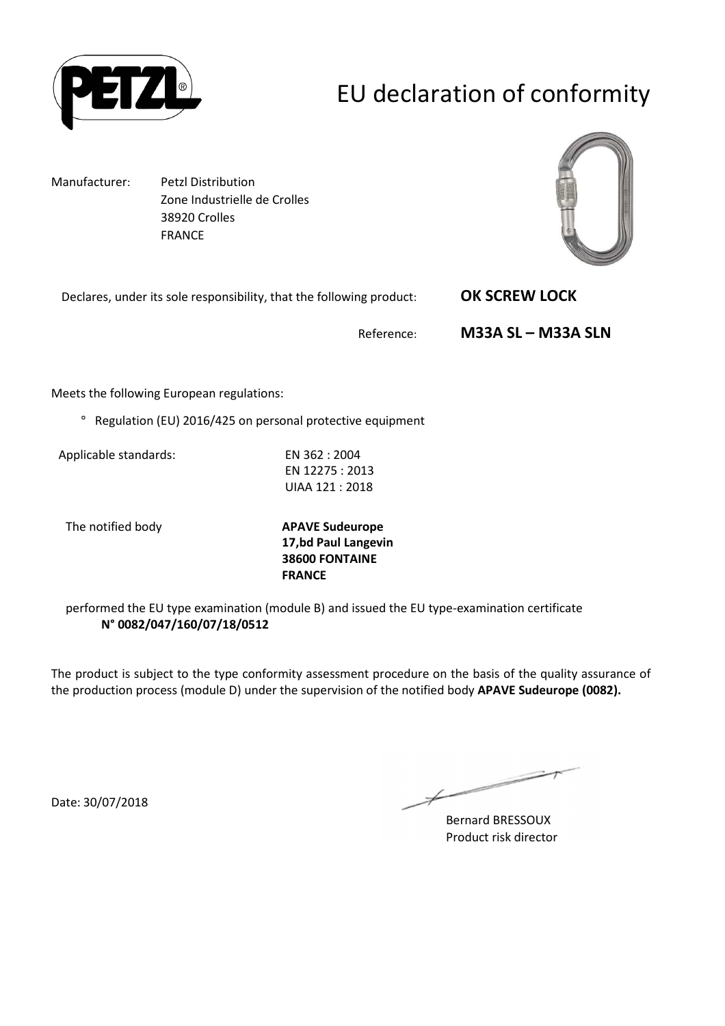

# EU declaration of conformity

Manufacturer: Petzl Distribution Zone Industrielle de Crolles 38920 Crolles FRANCE

Declares, under its sole responsibility, that the following prod



| ng product: | <b>OK SCREW LOCK</b> |
|-------------|----------------------|
| Reference:  | $M33A SL - M33A SLN$ |

Meets the following European regulations:

° Regulation (EU) 2016/425 on personal protective equipment

Applicable standards: EN 362 : 2004

EN 12275 : 2013 UIAA 121 : 2018

The notified body **APAVE Sudeurope**

**17,bd Paul Langevin 38600 FONTAINE FRANCE**

performed the EU type examination (module B) and issued the EU type-examination certificate **N° 0082/047/160/07/18/0512**

The product is subject to the type conformity assessment procedure on the basis of the quality assurance of the production process (module D) under the supervision of the notified body **APAVE Sudeurope (0082).**

Date: 30/07/2018

 $\overline{\phantom{a}}$ 

Bernard BRESSOUX Product risk director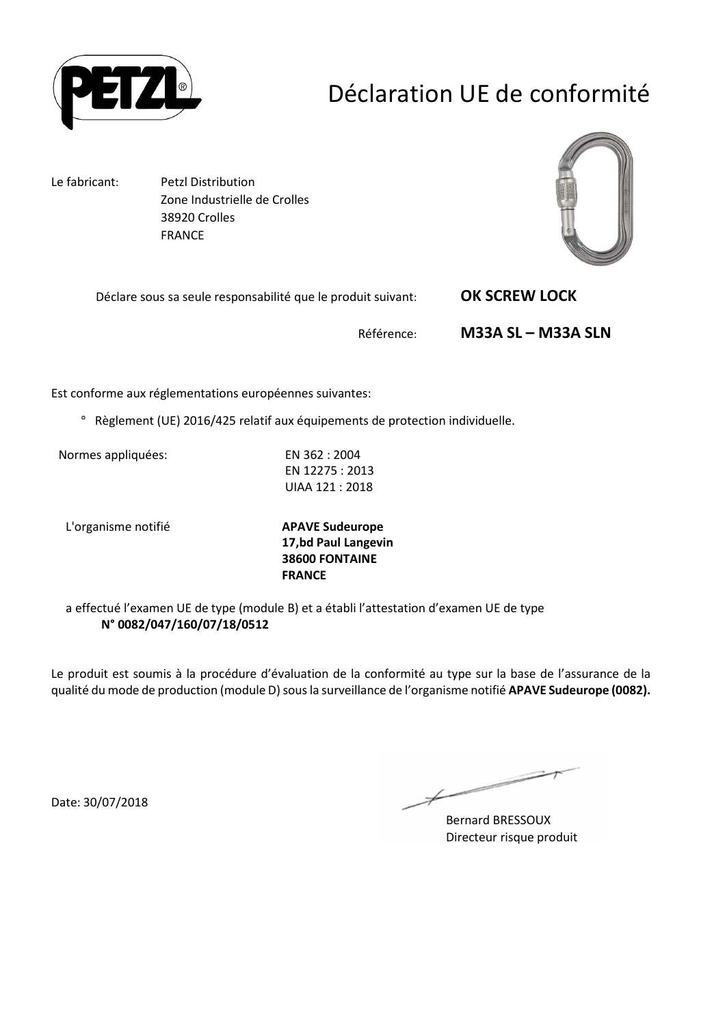

## Déclaration UE de conformité

Le fabricant: Petzl Distribution

 Zone Industrielle de Crolles 38920 Crolles FRANCE



Déclare sous sa seule responsabilité que le produit suivant: **OK SCREW LOCK** 

Référence: **M33A SL – M33A SLN** 

Est conforme aux réglementations européennes suivantes:

° Règlement (UE) 2016/425 relatif aux équipements de protection individuelle.

Normes appliquées: EN 362 : 2004

EN 12275 : 2013 UIAA 121 : 2018

L'organisme notifié **APAVE Sudeurope**

**17,bd Paul Langevin 38600 FONTAINE FRANCE**

a effectué l'examen UE de type (module B) et a établi l'attestation d'examen UE de type **N° 0082/047/160/07/18/0512**

Le produit est soumis à la procédure d'évaluation de la conformité au type sur la base de l'assurance de la qualité du mode de production (module D) sous la surveillance de l'organisme notifié **APAVE Sudeurope (0082).**

Date: 30/07/2018

Ł

Bernard BRESSOUX Directeur risque produit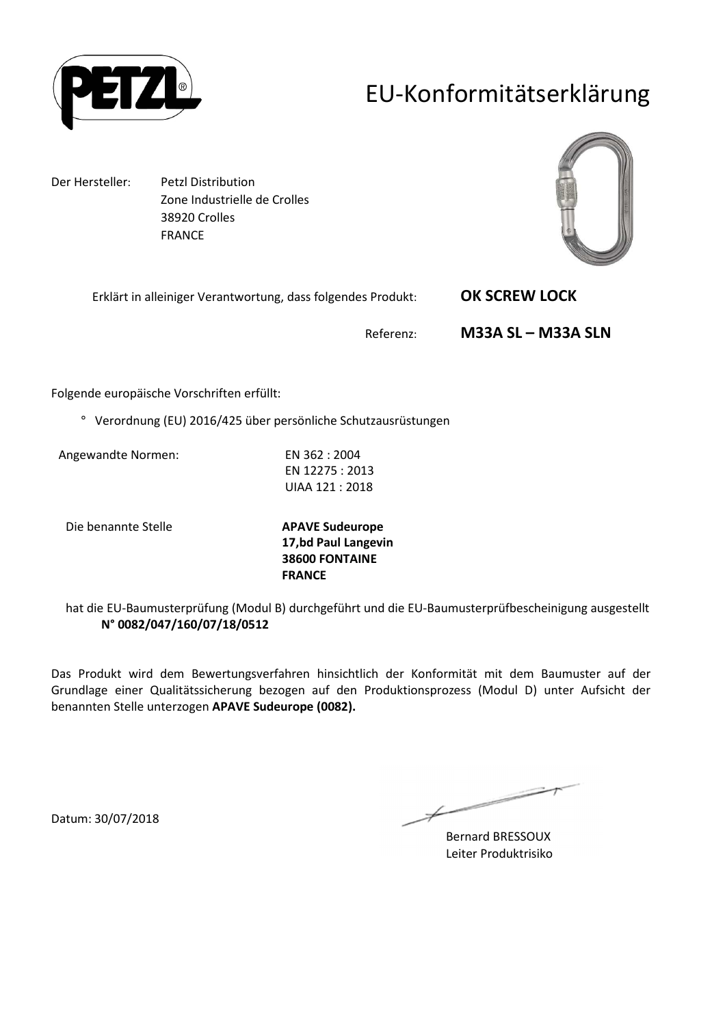

### EU-Konformitätserklärung

Der Hersteller: Petzl Distribution Zone Industrielle de Crolles 38920 Crolles FRANCE



Erklärt in alleiniger Verantwortung, dass folgendes Produkt: **OK SCREW LOCK** 

Referenz: **M33A SL – M33A SLN** 

Folgende europäische Vorschriften erfüllt:

° Verordnung (EU) 2016/425 über persönliche Schutzausrüstungen

Angewandte Normen: EN 362 : 2004

EN 12275 : 2013 UIAA 121 : 2018

Die benannte Stelle **APAVE Sudeurope**

**17,bd Paul Langevin 38600 FONTAINE FRANCE**

hat die EU-Baumusterprüfung (Modul B) durchgeführt und die EU-Baumusterprüfbescheinigung ausgestellt **N° 0082/047/160/07/18/0512**

Das Produkt wird dem Bewertungsverfahren hinsichtlich der Konformität mit dem Baumuster auf der Grundlage einer Qualitätssicherung bezogen auf den Produktionsprozess (Modul D) unter Aufsicht der benannten Stelle unterzogen **APAVE Sudeurope (0082).**

 $\overline{\phantom{a}}$ 

Bernard BRESSOUX Leiter Produktrisiko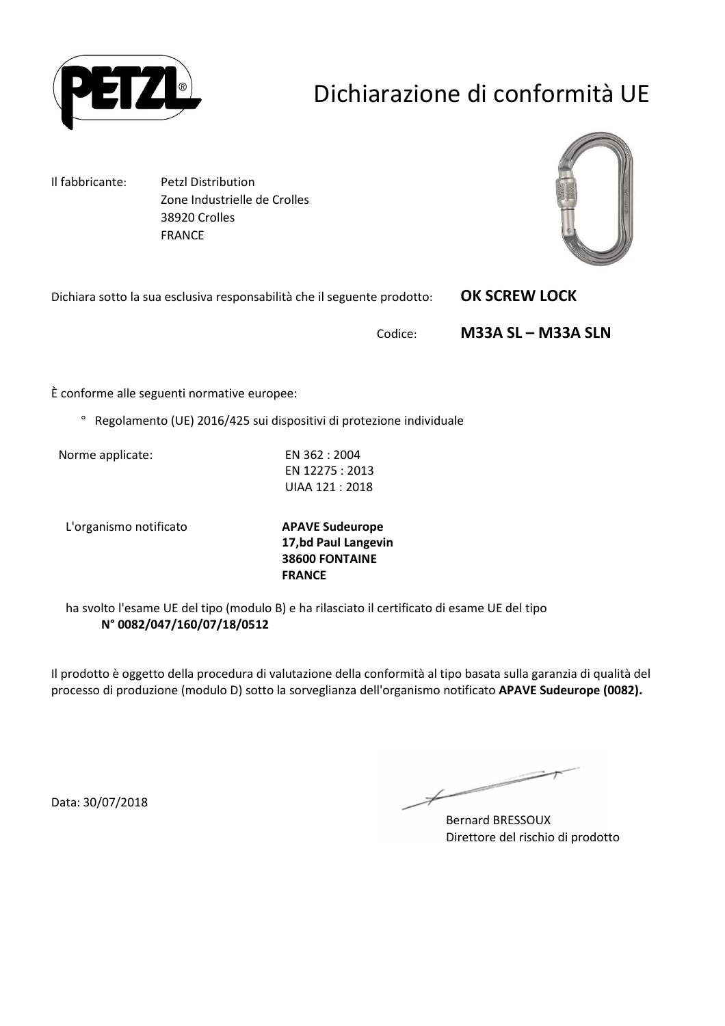

# Dichiarazione di conformità UE

Il fabbricante: Petzl Distribution Zone Industrielle de Crolles 38920 Crolles FRANCE

Dichiara sotto la sua esclusiva responsabilità che il seguente prodotto: **OK SCREW LOCK** 



Codice: **M33A SL – M33A SLN** 

È conforme alle seguenti normative europee:

° Regolamento (UE) 2016/425 sui dispositivi di protezione individuale

Norme applicate: EN 362 : 2004

EN 12275 : 2013 UIAA 121 : 2018

L'organismo notificato **APAVE Sudeurope**

**17,bd Paul Langevin 38600 FONTAINE FRANCE**

ha svolto l'esame UE del tipo (modulo B) e ha rilasciato il certificato di esame UE del tipo **N° 0082/047/160/07/18/0512**

Il prodotto è oggetto della procedura di valutazione della conformità al tipo basata sulla garanzia di qualità del processo di produzione (modulo D) sotto la sorveglianza dell'organismo notificato **APAVE Sudeurope (0082).**

Data: 30/07/2018

Ł

Bernard BRESSOUX Direttore del rischio di prodotto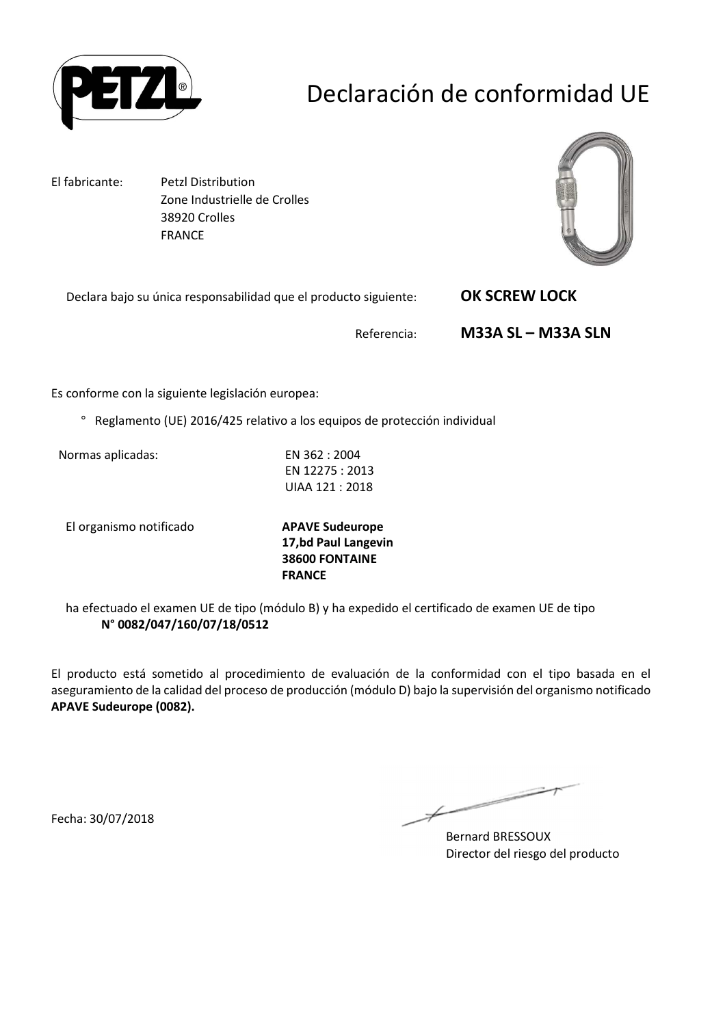

## Declaración de conformidad UE

El fabricante: Petzl Distribution Zone Industrielle de Crolles 38920 Crolles FRANCE



Declara bajo su única responsabilidad que el producto siguiente: **OK SCREW LOCK** 

Referencia: **M33A SL – M33A SLN** 

Es conforme con la siguiente legislación europea:

° Reglamento (UE) 2016/425 relativo a los equipos de protección individual

Normas aplicadas: EN 362 : 2004

EN 12275 : 2013 UIAA 121 : 2018

El organismo notificado **APAVE Sudeurope**

**17,bd Paul Langevin 38600 FONTAINE FRANCE**

ha efectuado el examen UE de tipo (módulo B) y ha expedido el certificado de examen UE de tipo **N° 0082/047/160/07/18/0512**

El producto está sometido al procedimiento de evaluación de la conformidad con el tipo basada en el aseguramiento de la calidad del proceso de producción (módulo D) bajo la supervisión del organismo notificado **APAVE Sudeurope (0082).**

Fecha: 30/07/2018

 $\overline{\phantom{1}}$ 

Bernard BRESSOUX Director del riesgo del producto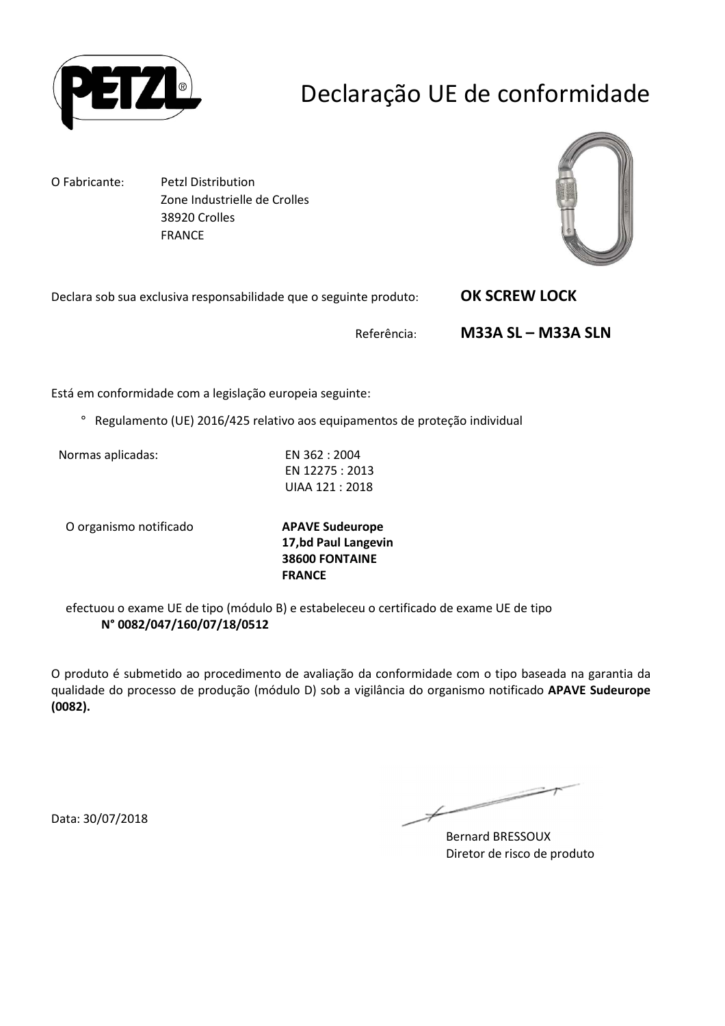

## Declaração UE de conformidade

O Fabricante: Petzl Distribution Zone Industrielle de Crolles 38920 Crolles FRANCE



Declara sob sua exclusiva responsabilidade que o seguinte produto: **OK SCREW LOCK** 

Referência: **M33A SL – M33A SLN** 

Está em conformidade com a legislação europeia seguinte:

° Regulamento (UE) 2016/425 relativo aos equipamentos de proteção individual

Normas aplicadas: EN 362 : 2004

EN 12275 : 2013 UIAA 121 : 2018

O organismo notificado **APAVE Sudeurope**

**17,bd Paul Langevin 38600 FONTAINE FRANCE**

efectuou o exame UE de tipo (módulo B) e estabeleceu o certificado de exame UE de tipo **N° 0082/047/160/07/18/0512**

O produto é submetido ao procedimento de avaliação da conformidade com o tipo baseada na garantia da qualidade do processo de produção (módulo D) sob a vigilância do organismo notificado **APAVE Sudeurope (0082).**

Data: 30/07/2018

 $\overline{\phantom{1}}$ 

Bernard BRESSOUX Diretor de risco de produto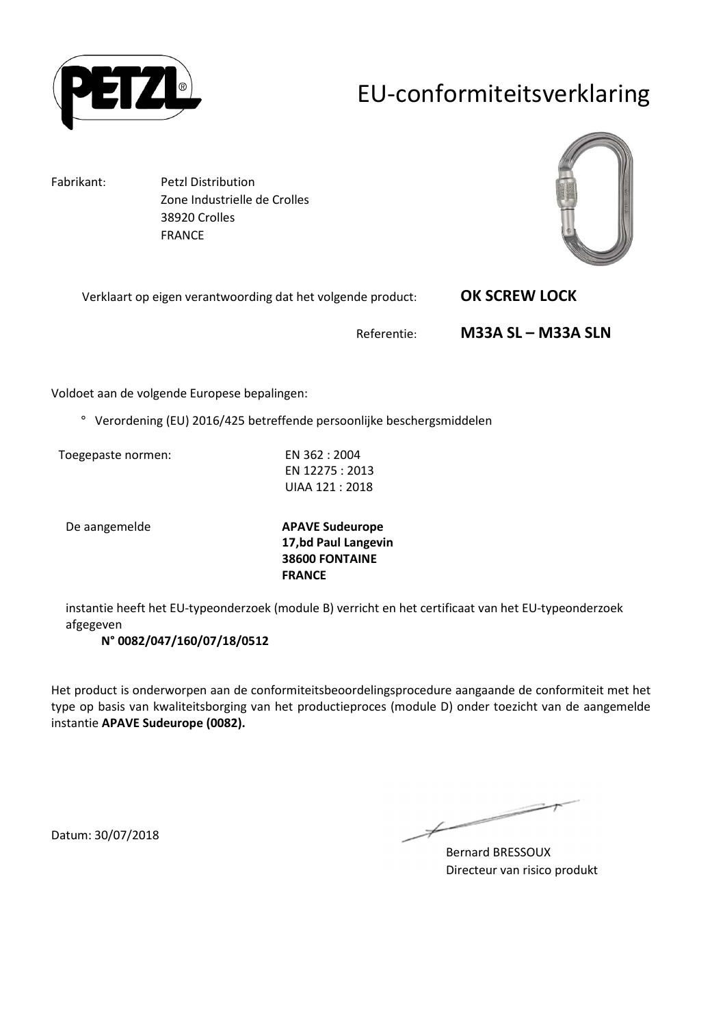

### EU-conformiteitsverklaring

Fabrikant: Petzl Distribution Zone Industrielle de Crolles 38920 Crolles FRANCE



Verklaart op eigen verantwoording dat het volgende product: **OK SCREW LOCK** 

Referentie: **M33A SL – M33A SLN** 

Voldoet aan de volgende Europese bepalingen:

° Verordening (EU) 2016/425 betreffende persoonlijke beschergsmiddelen

Toegepaste normen: EN 362 : 2004

EN 12275 : 2013 UIAA 121 : 2018

De aangemelde **APAVE Sudeurope 17,bd Paul Langevin 38600 FONTAINE FRANCE**

instantie heeft het EU-typeonderzoek (module B) verricht en het certificaat van het EU-typeonderzoek afgegeven

**N° 0082/047/160/07/18/0512**

Het product is onderworpen aan de conformiteitsbeoordelingsprocedure aangaande de conformiteit met het type op basis van kwaliteitsborging van het productieproces (module D) onder toezicht van de aangemelde instantie **APAVE Sudeurope (0082).**

 $\overline{\phantom{a}}$  $\overline{\mathscr{C}}$ 

Bernard BRESSOUX Directeur van risico produkt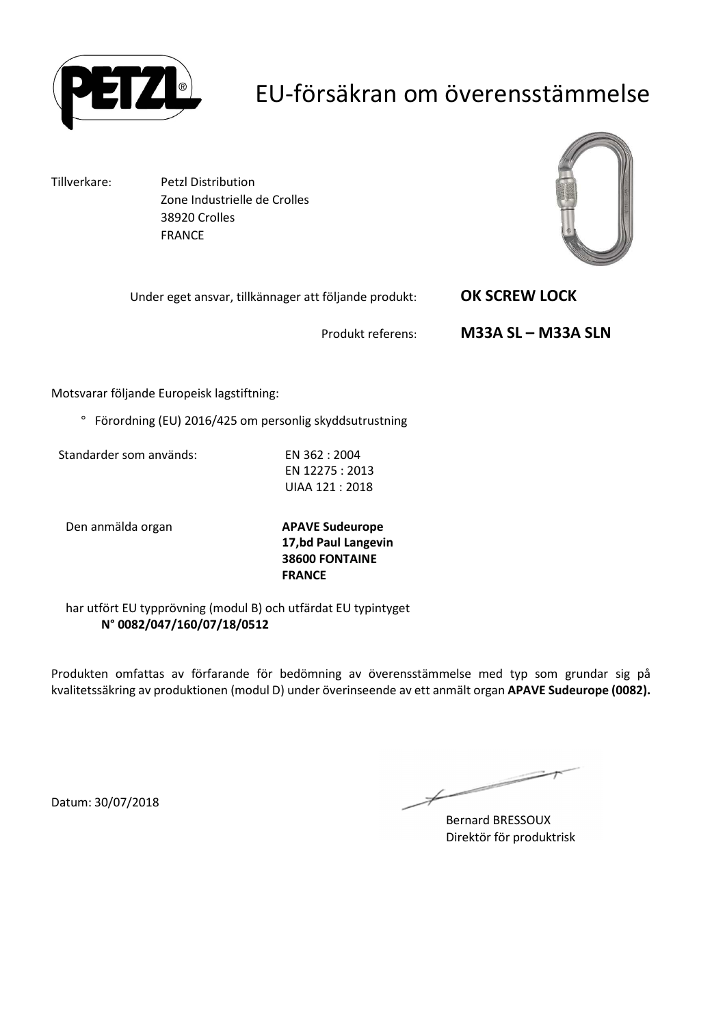

### EU-försäkran om överensstämmelse

Tillverkare: Petzl Distribution Zone Industrielle de Crolles 38920 Crolles FRANCE



Under eget ansvar, tillkännager att följande produkt: **OK SCREW LOCK** 

Produkt referens: **M33A SL – M33A SLN** 

Motsvarar följande Europeisk lagstiftning:

° Förordning (EU) 2016/425 om personlig skyddsutrustning

Standarder som används: EN 362 : 2004

EN 12275 : 2013 UIAA 121 : 2018

Den anmälda organ **APAVE Sudeurope**

**17,bd Paul Langevin 38600 FONTAINE FRANCE**

har utfört EU typprövning (modul B) och utfärdat EU typintyget **N° 0082/047/160/07/18/0512**

Produkten omfattas av förfarande för bedömning av överensstämmelse med typ som grundar sig på kvalitetssäkring av produktionen (modul D) under överinseende av ett anmält organ **APAVE Sudeurope (0082).**

Bernard BRESSOUX Direktör för produktrisk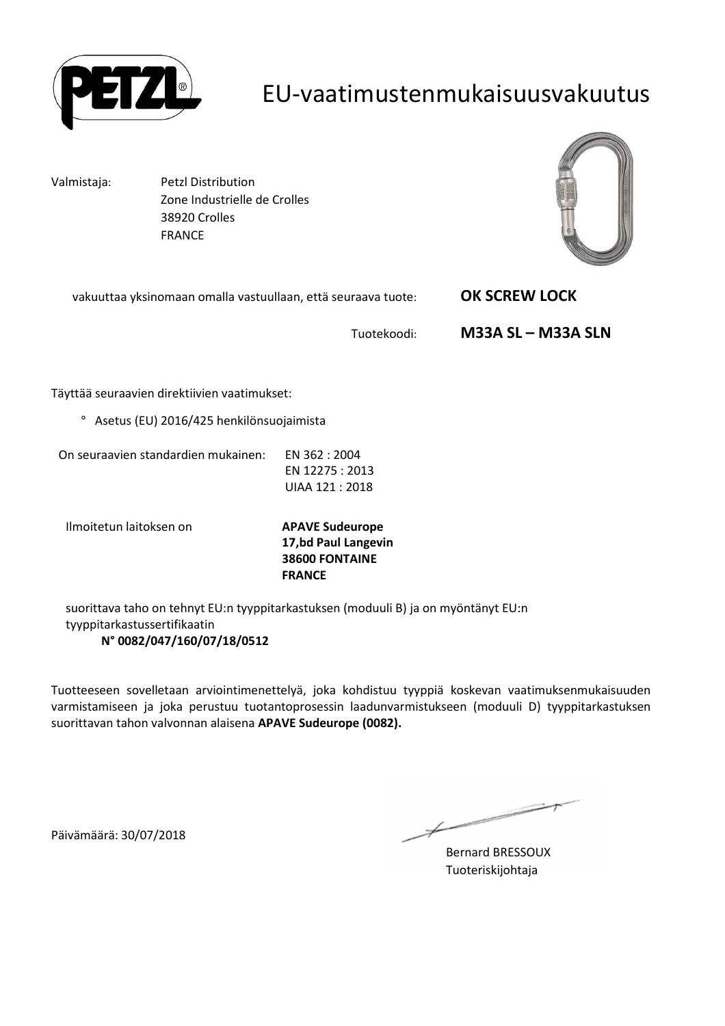

#### EU-vaatimustenmukaisuusvakuutus

Valmistaja: Petzl Distribution Zone Industrielle de Crolles 38920 Crolles FRANCE



vakuuttaa yksinomaan omalla vastuullaan, että seuraava tuote: **OK SCREW LOCK** 

Tuotekoodi: **M33A SL – M33A SLN** 

Täyttää seuraavien direktiivien vaatimukset:

° Asetus (EU) 2016/425 henkilönsuojaimista

On seuraavien standardien mukainen: EN 362 : 2004

EN 12275 : 2013 UIAA 121 : 2018

Ilmoitetun laitoksen on **APAVE Sudeurope**

**17,bd Paul Langevin 38600 FONTAINE FRANCE**

suorittava taho on tehnyt EU:n tyyppitarkastuksen (moduuli B) ja on myöntänyt EU:n tyyppitarkastussertifikaatin **N° 0082/047/160/07/18/0512**

Tuotteeseen sovelletaan arviointimenettelyä, joka kohdistuu tyyppiä koskevan vaatimuksenmukaisuuden varmistamiseen ja joka perustuu tuotantoprosessin laadunvarmistukseen (moduuli D) tyyppitarkastuksen suorittavan tahon valvonnan alaisena **APAVE Sudeurope (0082).**

Päivämäärä: 30/07/2018

 $\overline{\phantom{a}}$  $\not\!\!\!/-$ 

Bernard BRESSOUX Tuoteriskijohtaja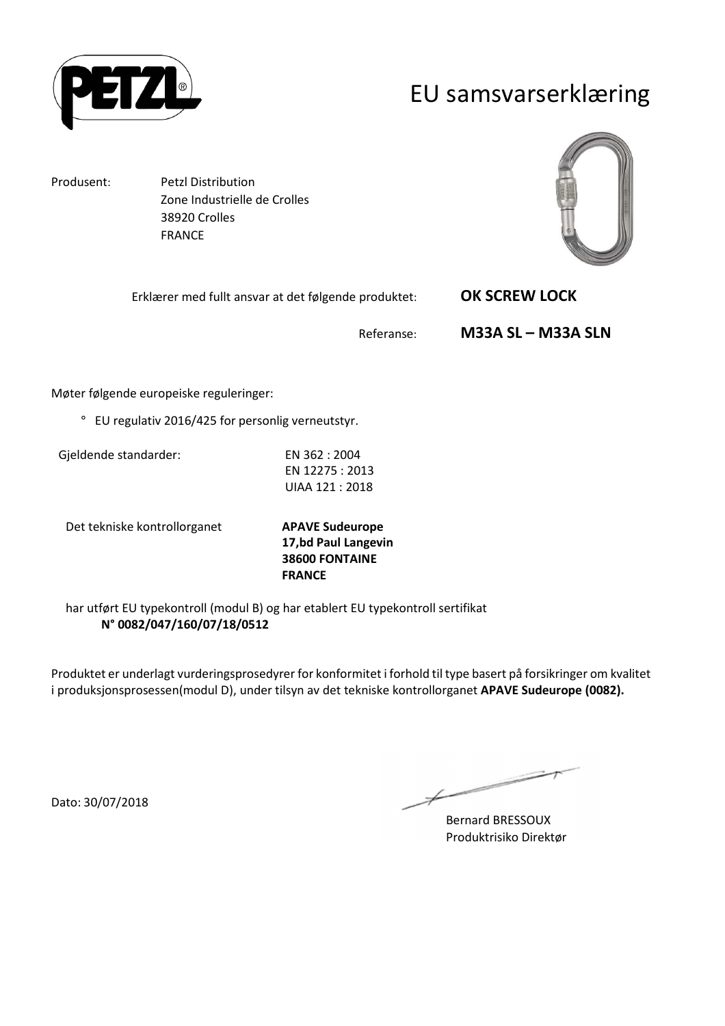

#### EU samsvarserklæring

Produsent: Petzl Distribution Zone Industrielle de Crolles 38920 Crolles FRANCE



Erklærer med fullt ansvar at det følgende produktet: **OK SCREW LOCK** 

Referanse: **M33A SL – M33A SLN** 

Møter følgende europeiske reguleringer:

° EU regulativ 2016/425 for personlig verneutstyr.

Gjeldende standarder: EN 362 : 2004

EN 12275 : 2013 UIAA 121 : 2018

Det tekniske kontrollorganet **APAVE Sudeurope**

**17,bd Paul Langevin 38600 FONTAINE FRANCE**

har utført EU typekontroll (modul B) og har etablert EU typekontroll sertifikat **N° 0082/047/160/07/18/0512**

Produktet er underlagt vurderingsprosedyrer for konformitet i forhold til type basert på forsikringer om kvalitet i produksjonsprosessen(modul D), under tilsyn av det tekniske kontrollorganet **APAVE Sudeurope (0082).**

Dato: 30/07/2018

 $\overline{\phantom{a}}$ 

Bernard BRESSOUX Produktrisiko Direktør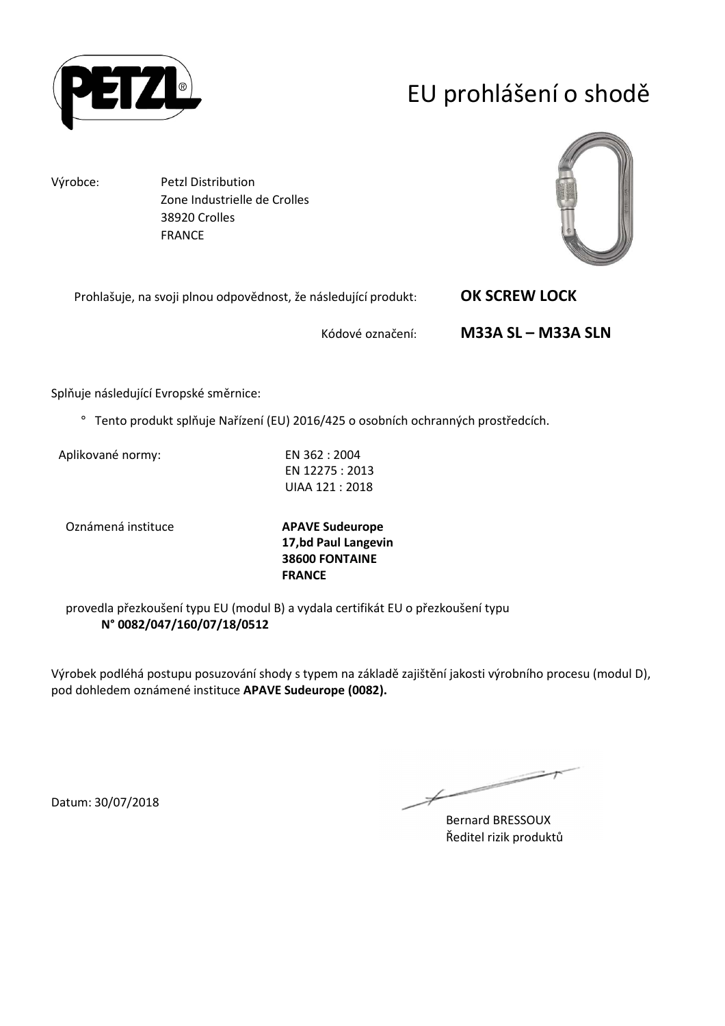

# EU prohlášení o shodě

Výrobce: Petzl Distribution Zone Industrielle de Crolles 38920 Crolles FRANCE



Prohlašuje, na svoji plnou odpovědnost, že následující produkt: **OK SCREW LOCK** 

Kódové označení: **M33A SL – M33A SLN** 

Splňuje následující Evropské směrnice:

° Tento produkt splňuje Nařízení (EU) 2016/425 o osobních ochranných prostředcích.

Aplikované normy: EN 362 : 2004

EN 12275 : 2013 UIAA 121 : 2018

Oznámená instituce **APAVE Sudeurope**

**17,bd Paul Langevin 38600 FONTAINE FRANCE**

provedla přezkoušení typu EU (modul B) a vydala certifikát EU o přezkoušení typu **N° 0082/047/160/07/18/0512**

Výrobek podléhá postupu posuzování shody s typem na základě zajištění jakosti výrobního procesu (modul D), pod dohledem oznámené instituce **APAVE Sudeurope (0082).**

 $\overline{\phantom{a}}$ 

Bernard BRESSOUX Ředitel rizik produktů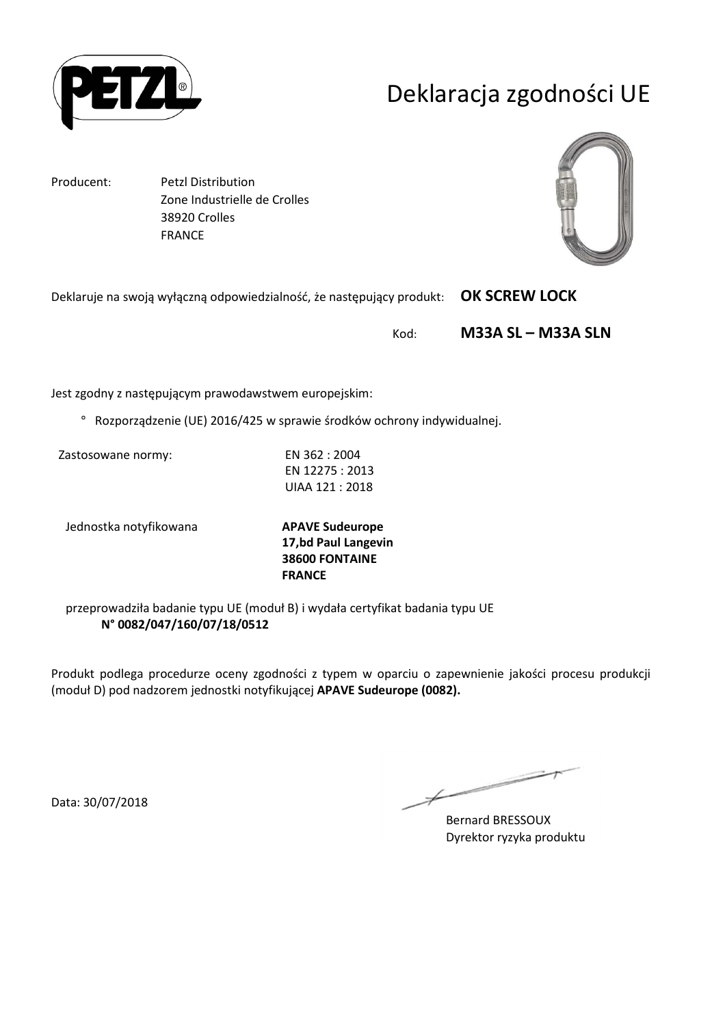

# Deklaracja zgodności UE

Producent: Petzl Distribution Zone Industrielle de Crolles 38920 Crolles FRANCE



Deklaruje na swoją wyłączną odpowiedzialność, że następujący produkt: **OK SCREW LOCK** 

Kod: **M33A SL – M33A SLN** 

Jest zgodny z następującym prawodawstwem europejskim:

° Rozporządzenie (UE) 2016/425 w sprawie środków ochrony indywidualnej.

Zastosowane normy: EN 362 : 2004

EN 12275 : 2013 UIAA 121 : 2018

Jednostka notyfikowana **APAVE Sudeurope**

**17,bd Paul Langevin 38600 FONTAINE FRANCE**

przeprowadziła badanie typu UE (moduł B) i wydała certyfikat badania typu UE **N° 0082/047/160/07/18/0512**

Produkt podlega procedurze oceny zgodności z typem w oparciu o zapewnienie jakości procesu produkcji (moduł D) pod nadzorem jednostki notyfikującej **APAVE Sudeurope (0082).**

Data: 30/07/2018

 $\overline{\phantom{a}}$ 

Bernard BRESSOUX Dyrektor ryzyka produktu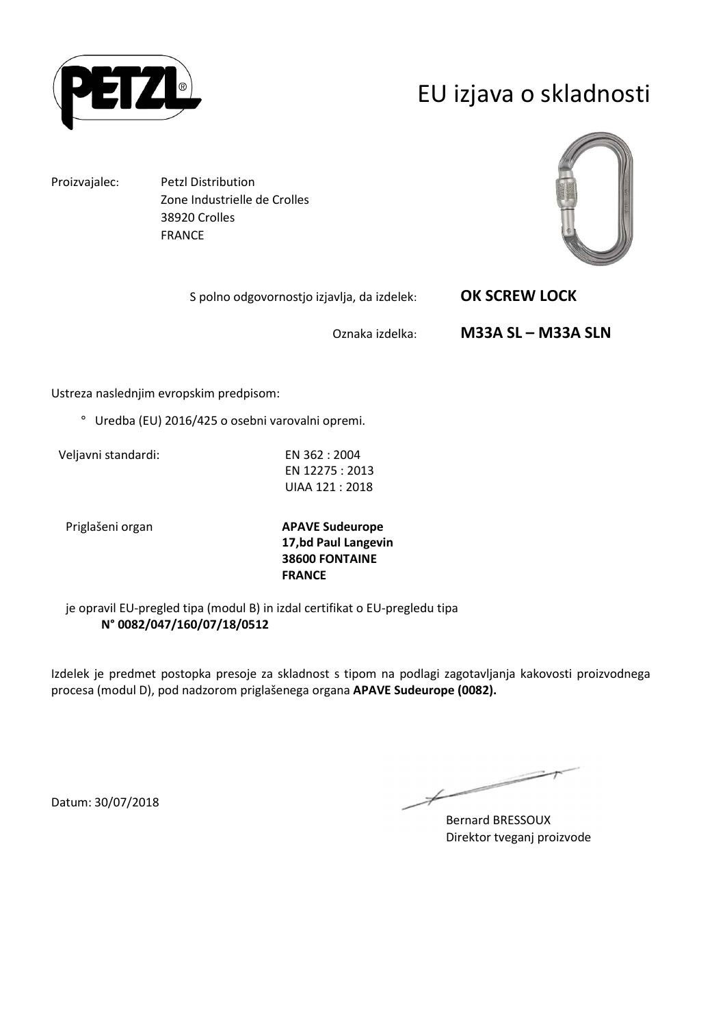

## EU izjava o skladnosti

Proizvajalec: Petzl Distribution Zone Industrielle de Crolles 38920 Crolles FRANCE



S polno odgovornostjo izjavlja, da izdelek: **OK SCREW LOCK** 

Oznaka izdelka: **M33A SL – M33A SLN** 

Ustreza naslednjim evropskim predpisom:

° Uredba (EU) 2016/425 o osebni varovalni opremi.

Veljavni standardi: EN 362 : 2004

EN 12275 : 2013 UIAA 121 : 2018

Priglašeni organ **APAVE Sudeurope 17,bd Paul Langevin 38600 FONTAINE FRANCE**

je opravil EU-pregled tipa (modul B) in izdal certifikat o EU-pregledu tipa **N° 0082/047/160/07/18/0512**

Izdelek je predmet postopka presoje za skladnost s tipom na podlagi zagotavljanja kakovosti proizvodnega procesa (modul D), pod nadzorom priglašenega organa **APAVE Sudeurope (0082).**

ست

Bernard BRESSOUX Direktor tveganj proizvode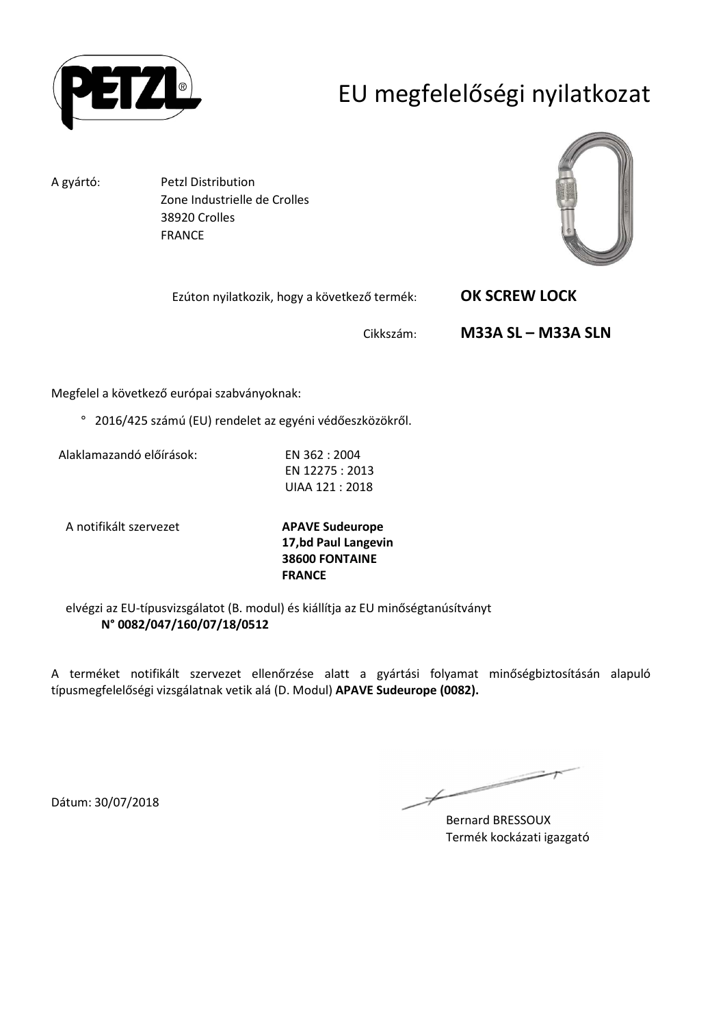

# EU megfelelőségi nyilatkozat

A gyártó: Petzl Distribution Zone Industrielle de Crolles 38920 Crolles FRANCE



Ezúton nyilatkozik, hogy a következő termék: **OK SCREW LOCK** 

Cikkszám: **M33A SL – M33A SLN** 

Megfelel a következő európai szabványoknak:

° 2016/425 számú (EU) rendelet az egyéni védőeszközökről.

Alaklamazandó előírások: EN 362 : 2004

EN 12275 : 2013 UIAA 121 : 2018

A notifikált szervezet **APAVE Sudeurope**

**17,bd Paul Langevin 38600 FONTAINE FRANCE**

elvégzi az EU-típusvizsgálatot (B. modul) és kiállítja az EU minőségtanúsítványt **N° 0082/047/160/07/18/0512**

A terméket notifikált szervezet ellenőrzése alatt a gyártási folyamat minőségbiztosításán alapuló típusmegfelelőségi vizsgálatnak vetik alá (D. Modul) **APAVE Sudeurope (0082).**

 $\overline{\phantom{a}}$ 

Bernard BRESSOUX Termék kockázati igazgató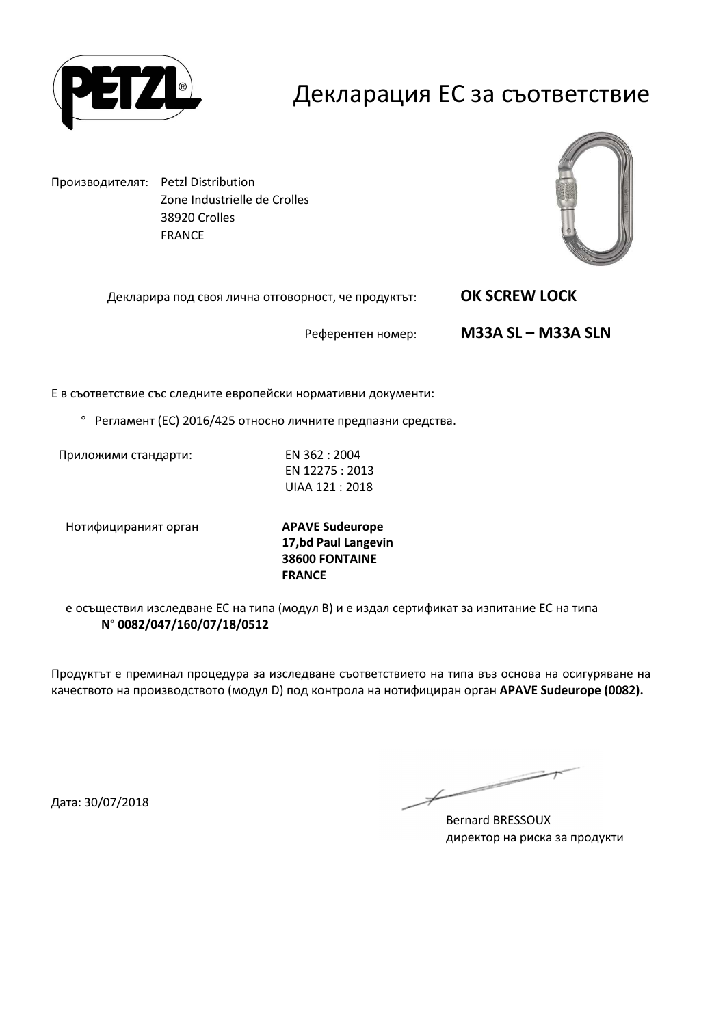

#### Декларация ЕС за съответствие

Производителят: Petzl Distribution Zone Industrielle de Crolles 38920 Crolles FRANCE



Декларира под своя лична отговорност, че продуктът: **OK SCREW LOCK** 

Референтен номер: **M33A SL – M33A SLN** 

Е в съответствие със следните европейски нормативни документи:

° Регламент (ЕС) 2016/425 относно личните предпазни средства.

Приложими стандарти: EN 362 : 2004

EN 12275 : 2013 UIAA 121 : 2018

Нотифицираният орган **APAVE Sudeurope**

**17,bd Paul Langevin 38600 FONTAINE FRANCE**

е осъществил изследване ЕС на типа (модул В) и е издал сертификат за изпитание ЕС на типа **N° 0082/047/160/07/18/0512**

Продуктът е преминал процедура за изследване съответствието на типа въз основа на осигуряване на качеството на производството (модул D) под контрола на нотифициран орган **APAVE Sudeurope (0082).**

Дата: 30/07/2018

 $\overline{\phantom{a}}$ 

Bernard BRESSOUX директор на риска за продукти